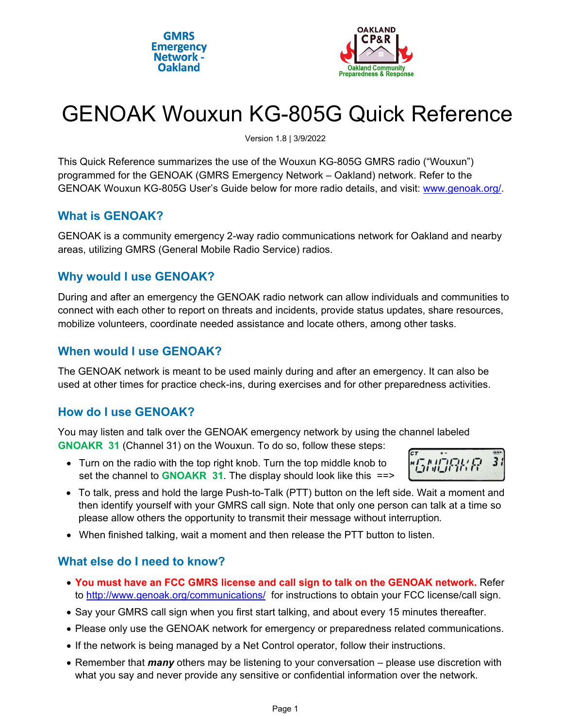



# GENOAK Wouxun KG-805G Quick Reference

Version 1.8 | 3/9/2022

This Quick Reference summarizes the use of the Wouxun KG-805G GMRS radio ("Wouxun") programmed for the GENOAK (GMRS Emergency Network – Oakland) network. Refer to the GENOAK Wouxun KG-805G User's Guide below for more radio details, and visit: www.genoak.org/.

### **What is GENOAK?**

GENOAK is a community emergency 2-way radio communications network for Oakland and nearby areas, utilizing GMRS (General Mobile Radio Service) radios.

# **Why would I use GENOAK?**

During and after an emergency the GENOAK radio network can allow individuals and communities to connect with each other to report on threats and incidents, provide status updates, share resources, mobilize volunteers, coordinate needed assistance and locate others, among other tasks.

# **When would I use GENOAK?**

The GENOAK network is meant to be used mainly during and after an emergency. It can also be used at other times for practice check-ins, during exercises and for other preparedness activities.

# **How do I use GENOAK?**

You may listen and talk over the GENOAK emergency network by using the channel labeled **GNOAKR 31** (Channel 31) on the Wouxun. To do so, follow these steps:

 Turn on the radio with the top right knob. Turn the top middle knob to set the channel to **GNOAKR 31**. The display should look like this ==>



- To talk, press and hold the large Push-to-Talk (PTT) button on the left side. Wait a moment and then identify yourself with your GMRS call sign. Note that only one person can talk at a time so please allow others the opportunity to transmit their message without interruption.
- When finished talking, wait a moment and then release the PTT button to listen.

# **What else do I need to know?**

- **You must have an FCC GMRS license and call sign to talk on the GENOAK network.** Refer to http://www.genoak.org/communications/ for instructions to obtain your FCC license/call sign.
- Say your GMRS call sign when you first start talking, and about every 15 minutes thereafter.
- Please only use the GENOAK network for emergency or preparedness related communications.
- If the network is being managed by a Net Control operator, follow their instructions.
- Remember that *many* others may be listening to your conversation please use discretion with what you say and never provide any sensitive or confidential information over the network.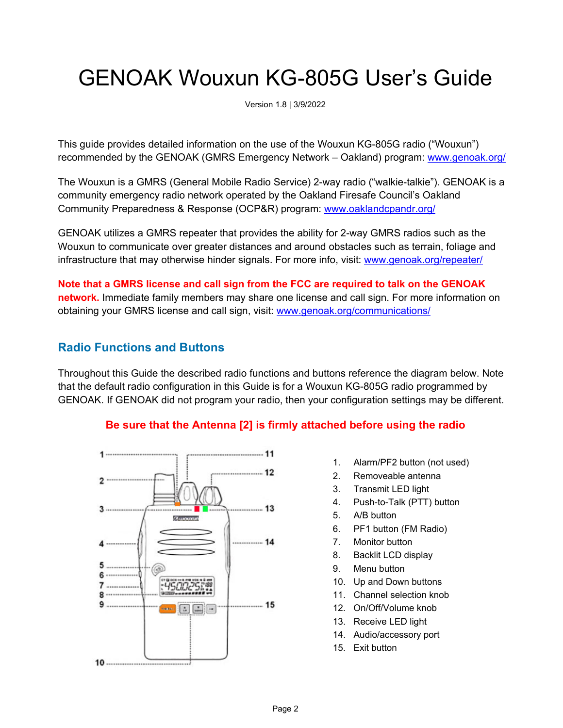# GENOAK Wouxun KG-805G User's Guide

Version 1.8 | 3/9/2022

This guide provides detailed information on the use of the Wouxun KG-805G radio ("Wouxun") recommended by the GENOAK (GMRS Emergency Network – Oakland) program: www.genoak.org/

The Wouxun is a GMRS (General Mobile Radio Service) 2-way radio ("walkie-talkie"). GENOAK is a community emergency radio network operated by the Oakland Firesafe Council's Oakland Community Preparedness & Response (OCP&R) program: www.oaklandcpandr.org/

GENOAK utilizes a GMRS repeater that provides the ability for 2-way GMRS radios such as the Wouxun to communicate over greater distances and around obstacles such as terrain, foliage and infrastructure that may otherwise hinder signals. For more info, visit: www.genoak.org/repeater/

**Note that a GMRS license and call sign from the FCC are required to talk on the GENOAK network.** Immediate family members may share one license and call sign. For more information on obtaining your GMRS license and call sign, visit: www.genoak.org/communications/

# **Radio Functions and Buttons**

Throughout this Guide the described radio functions and buttons reference the diagram below. Note that the default radio configuration in this Guide is for a Wouxun KG-805G radio programmed by GENOAK. If GENOAK did not program your radio, then your configuration settings may be different.

#### **Be sure that the Antenna [2] is firmly attached before using the radio**



- 1. Alarm/PF2 button (not used)
- 2. Removeable antenna
- 3. Transmit LED light
- 4. Push-to-Talk (PTT) button
- 5. A/B button
- 6. PF1 button (FM Radio)
- 7. Monitor button
- 8. Backlit LCD display
- 9. Menu button
- 10. Up and Down buttons
- 11. Channel selection knob
- 12. On/Off/Volume knob
- 13. Receive LED light
- 14. Audio/accessory port
- 15. Exit button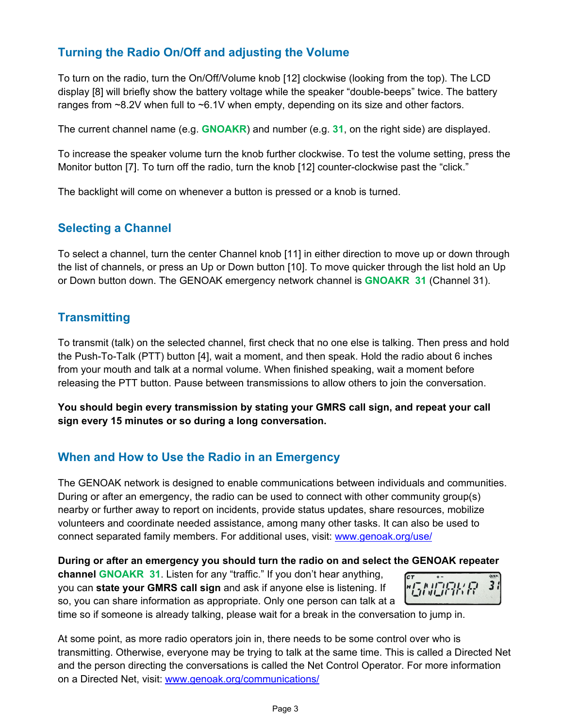# **Turning the Radio On/Off and adjusting the Volume**

To turn on the radio, turn the On/Off/Volume knob [12] clockwise (looking from the top). The LCD display [8] will briefly show the battery voltage while the speaker "double-beeps" twice. The battery ranges from  $\sim$ 8.2V when full to  $\sim$ 6.1V when empty, depending on its size and other factors.

The current channel name (e.g. **GNOAKR**) and number (e.g. **31**, on the right side) are displayed.

To increase the speaker volume turn the knob further clockwise. To test the volume setting, press the Monitor button [7]. To turn off the radio, turn the knob [12] counter-clockwise past the "click."

The backlight will come on whenever a button is pressed or a knob is turned.

### **Selecting a Channel**

To select a channel, turn the center Channel knob [11] in either direction to move up or down through the list of channels, or press an Up or Down button [10]. To move quicker through the list hold an Up or Down button down. The GENOAK emergency network channel is **GNOAKR 31** (Channel 31).

# **Transmitting**

To transmit (talk) on the selected channel, first check that no one else is talking. Then press and hold the Push-To-Talk (PTT) button [4], wait a moment, and then speak. Hold the radio about 6 inches from your mouth and talk at a normal volume. When finished speaking, wait a moment before releasing the PTT button. Pause between transmissions to allow others to join the conversation.

**You should begin every transmission by stating your GMRS call sign, and repeat your call sign every 15 minutes or so during a long conversation.** 

# **When and How to Use the Radio in an Emergency**

The GENOAK network is designed to enable communications between individuals and communities. During or after an emergency, the radio can be used to connect with other community group(s) nearby or further away to report on incidents, provide status updates, share resources, mobilize volunteers and coordinate needed assistance, among many other tasks. It can also be used to connect separated family members. For additional uses, visit: www.genoak.org/use/

#### **During or after an emergency you should turn the radio on and select the GENOAK repeater**

**channel GNOAKR 31**. Listen for any "traffic." If you don't hear anything, you can **state your GMRS call sign** and ask if anyone else is listening. If so, you can share information as appropriate. Only one person can talk at a



time so if someone is already talking, please wait for a break in the conversation to jump in.

At some point, as more radio operators join in, there needs to be some control over who is transmitting. Otherwise, everyone may be trying to talk at the same time. This is called a Directed Net and the person directing the conversations is called the Net Control Operator. For more information on a Directed Net, visit: www.genoak.org/communications/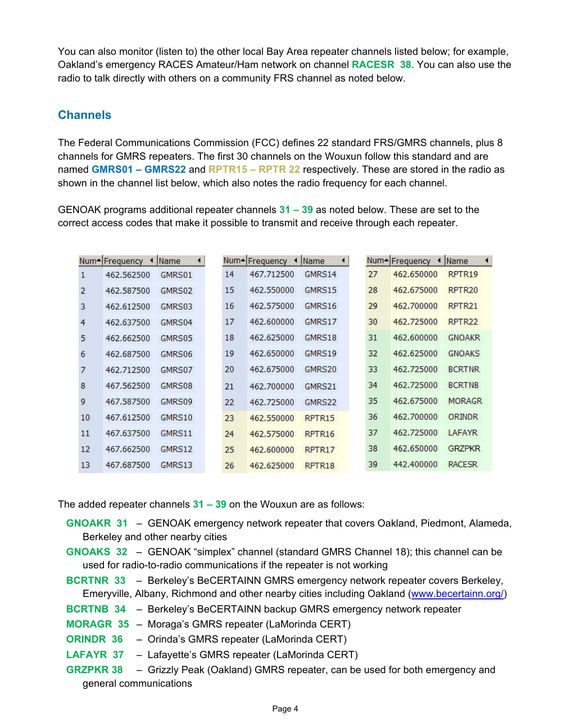You can also monitor (listen to) the other local Bay Area repeater channels listed below; for example, Oakland's emergency RACES Amateur/Ham network on channel **RACESR 38**. You can also use the radio to talk directly with others on a community FRS channel as noted below.

#### **Channels**

The Federal Communications Commission (FCC) defines 22 standard FRS/GMRS channels, plus 8 channels for GMRS repeaters. The first 30 channels on the Wouxun follow this standard and are named **GMRS01 – GMRS22** and **RPTR15 – RPTR 22** respectively. These are stored in the radio as shown in the channel list below, which also notes the radio frequency for each channel.

GENOAK programs additional repeater channels **31 – 39** as noted below. These are set to the correct access codes that make it possible to transmit and receive through each repeater.

|                | Num-Frequency<br>$\blacktriangleleft$ | Name<br>$\blacktriangleleft$ |    | Num-Frequency | ◀ Name | $\blacktriangleleft$ |    | Num-Frequency<br>$\rightarrow$ | $\blacktriangleleft$<br><b>Name</b> |
|----------------|---------------------------------------|------------------------------|----|---------------|--------|----------------------|----|--------------------------------|-------------------------------------|
| 1              | 462.562500                            | GMRS01                       | 14 | 467.712500    | GMRS14 |                      | 27 | 462.650000                     | RPTR19                              |
| $\overline{2}$ | 462.587500                            | GMRS02                       | 15 | 462.550000    | GMRS15 |                      | 28 | 462.675000                     | RPTR <sub>20</sub>                  |
| 3              | 462.612500                            | GMRS03                       | 16 | 462.575000    | GMRS16 |                      | 29 | 462.700000                     | RPTR <sub>21</sub>                  |
| 4              | 462.637500                            | GMRS04                       | 17 | 462.600000    | GMRS17 |                      | 30 | 462.725000                     | RPTR <sub>22</sub>                  |
| 5              | 462.662500                            | GMRS05                       | 18 | 462.625000    | GMRS18 |                      | 31 | 462,600000                     | <b>GNOAKR</b>                       |
| 6              | 462.687500                            | GMRS06                       | 19 | 462.650000    | GMRS19 |                      | 32 | 462.625000                     | <b>GNOAKS</b>                       |
| 7              | 462.712500                            | GMRS07                       | 20 | 462.675000    | GMRS20 |                      | 33 | 462.725000                     | <b>BCRTNR</b>                       |
| 8              | 467.562500                            | GMRS08                       | 21 | 462.700000    | GMRS21 |                      | 34 | 462.725000                     | <b>BCRTNB</b>                       |
| 9              | 467.587500                            | GMRS09                       | 22 | 462.725000    | GMRS22 |                      | 35 | 462.675000                     | <b>MORAGR</b>                       |
| 10             | 467.612500                            | GMRS10                       | 23 | 462.550000    | RPTR15 |                      | 36 | 462.700000                     | ORINDR                              |
| 11             | 467.637500                            | GMRS11                       | 24 | 462.575000    | RPTR16 |                      | 37 | 462.725000                     | <b>LAFAYR</b>                       |
| 12             | 467.662500                            | GMRS12                       | 25 | 462.600000    | RPTR17 |                      | 38 | 462.650000                     | <b>GRZPKR</b>                       |
| 13             | 467.687500                            | GMRS13                       | 26 | 462.625000    | RPTR18 |                      | 39 | 442,400000                     | <b>RACESR</b>                       |

The added repeater channels **31 – 39** on the Wouxun are as follows:

**GNOAKR 31** – GENOAK emergency network repeater that covers Oakland, Piedmont, Alameda, Berkeley and other nearby cities

- **GNOAKS 32** GENOAK "simplex" channel (standard GMRS Channel 18); this channel can be used for radio-to-radio communications if the repeater is not working
- **BCRTNR 33**  Berkeley's BeCERTAINN GMRS emergency network repeater covers Berkeley, Emeryville, Albany, Richmond and other nearby cities including Oakland (www.becertainn.org/)
- **BCRTNB 34** Berkeley's BeCERTAINN backup GMRS emergency network repeater
- **MORAGR 35** Moraga's GMRS repeater (LaMorinda CERT)
- **ORINDR 36** Orinda's GMRS repeater (LaMorinda CERT)
- **LAFAYR 37** Lafayette's GMRS repeater (LaMorinda CERT)
- **GRZPKR 38** Grizzly Peak (Oakland) GMRS repeater, can be used for both emergency and general communications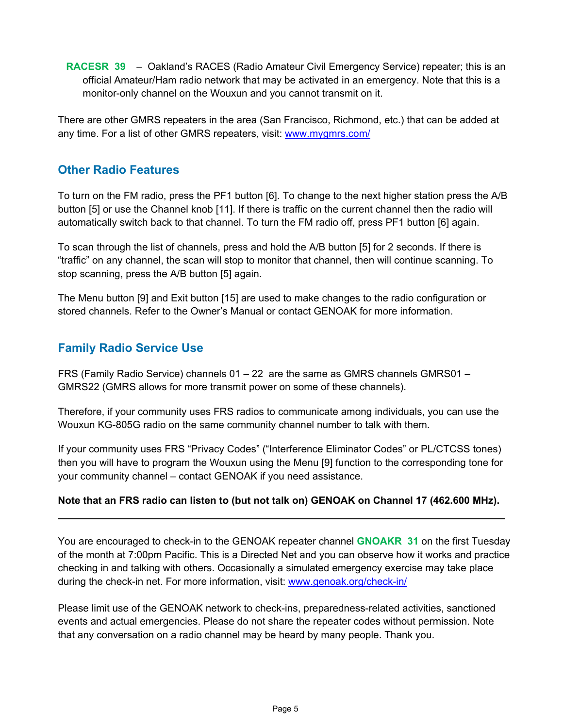**RACESR 39** – Oakland's RACES (Radio Amateur Civil Emergency Service) repeater; this is an official Amateur/Ham radio network that may be activated in an emergency. Note that this is a monitor-only channel on the Wouxun and you cannot transmit on it.

There are other GMRS repeaters in the area (San Francisco, Richmond, etc.) that can be added at any time. For a list of other GMRS repeaters, visit: www.mygmrs.com/

### **Other Radio Features**

To turn on the FM radio, press the PF1 button [6]. To change to the next higher station press the A/B button [5] or use the Channel knob [11]. If there is traffic on the current channel then the radio will automatically switch back to that channel. To turn the FM radio off, press PF1 button [6] again.

To scan through the list of channels, press and hold the A/B button [5] for 2 seconds. If there is "traffic" on any channel, the scan will stop to monitor that channel, then will continue scanning. To stop scanning, press the A/B button [5] again.

The Menu button [9] and Exit button [15] are used to make changes to the radio configuration or stored channels. Refer to the Owner's Manual or contact GENOAK for more information.

# **Family Radio Service Use**

FRS (Family Radio Service) channels 01 – 22 are the same as GMRS channels GMRS01 – GMRS22 (GMRS allows for more transmit power on some of these channels).

Therefore, if your community uses FRS radios to communicate among individuals, you can use the Wouxun KG-805G radio on the same community channel number to talk with them.

If your community uses FRS "Privacy Codes" ("Interference Eliminator Codes" or PL/CTCSS tones) then you will have to program the Wouxun using the Menu [9] function to the corresponding tone for your community channel – contact GENOAK if you need assistance.

#### **Note that an FRS radio can listen to (but not talk on) GENOAK on Channel 17 (462.600 MHz).**

You are encouraged to check-in to the GENOAK repeater channel **GNOAKR 31** on the first Tuesday of the month at 7:00pm Pacific. This is a Directed Net and you can observe how it works and practice checking in and talking with others. Occasionally a simulated emergency exercise may take place during the check-in net. For more information, visit: www.genoak.org/check-in/

Please limit use of the GENOAK network to check-ins, preparedness-related activities, sanctioned events and actual emergencies. Please do not share the repeater codes without permission. Note that any conversation on a radio channel may be heard by many people. Thank you.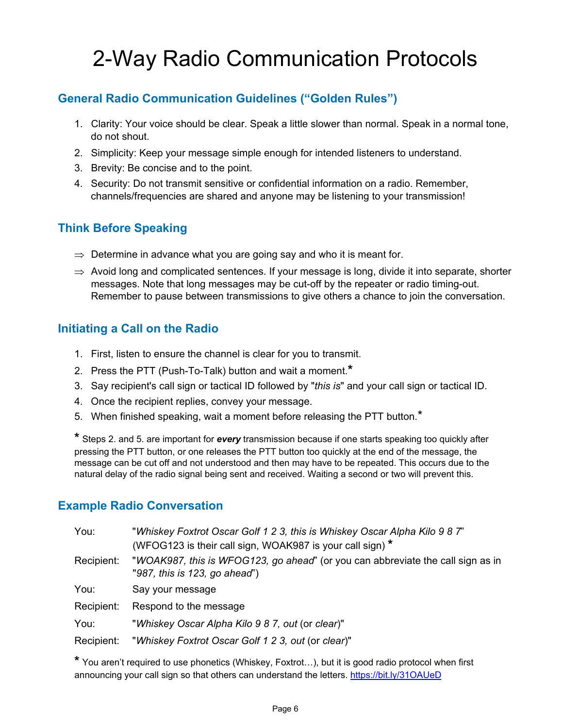# 2-Way Radio Communication Protocols

# **General Radio Communication Guidelines ("Golden Rules")**

- 1. Clarity: Your voice should be clear. Speak a little slower than normal. Speak in a normal tone, do not shout.
- 2. Simplicity: Keep your message simple enough for intended listeners to understand.
- 3. Brevity: Be concise and to the point.
- 4. Security: Do not transmit sensitive or confidential information on a radio. Remember, channels/frequencies are shared and anyone may be listening to your transmission!

# **Think Before Speaking**

- $\Rightarrow$  Determine in advance what you are going say and who it is meant for.
- $\Rightarrow$  Avoid long and complicated sentences. If your message is long, divide it into separate, shorter messages. Note that long messages may be cut-off by the repeater or radio timing-out. Remember to pause between transmissions to give others a chance to join the conversation.

### **Initiating a Call on the Radio**

- 1. First, listen to ensure the channel is clear for you to transmit.
- 2. Press the PTT (Push-To-Talk) button and wait a moment.**\***
- 3. Say recipient's call sign or tactical ID followed by "*this is*" and your call sign or tactical ID.
- 4. Once the recipient replies, convey your message.
- 5. When finished speaking, wait a moment before releasing the PTT button.\*

**\*** Steps 2. and 5. are important for *every* transmission because if one starts speaking too quickly after pressing the PTT button, or one releases the PTT button too quickly at the end of the message, the message can be cut off and not understood and then may have to be repeated. This occurs due to the natural delay of the radio signal being sent and received. Waiting a second or two will prevent this.

#### **Example Radio Conversation**

| You:       | "Whiskey Foxtrot Oscar Golf 1 2 3, this is Whiskey Oscar Alpha Kilo 9 8 7"<br>(WFOG123 is their call sign, WOAK987 is your call sign) * |
|------------|-----------------------------------------------------------------------------------------------------------------------------------------|
| Recipient: | "WOAK987, this is WFOG123, go ahead" (or you can abbreviate the call sign as in<br>"987, this is 123, go ahead")                        |
| You:       | Say your message                                                                                                                        |
| Recipient: | Respond to the message                                                                                                                  |
| You:       | "Whiskey Oscar Alpha Kilo 9 8 7, out (or clear)"                                                                                        |
| Recipient: | "Whiskey Foxtrot Oscar Golf 1 2 3, out (or clear)"                                                                                      |

**\*** You aren't required to use phonetics (Whiskey, Foxtrot…), but it is good radio protocol when first announcing your call sign so that others can understand the letters. https://bit.ly/31OAUeD